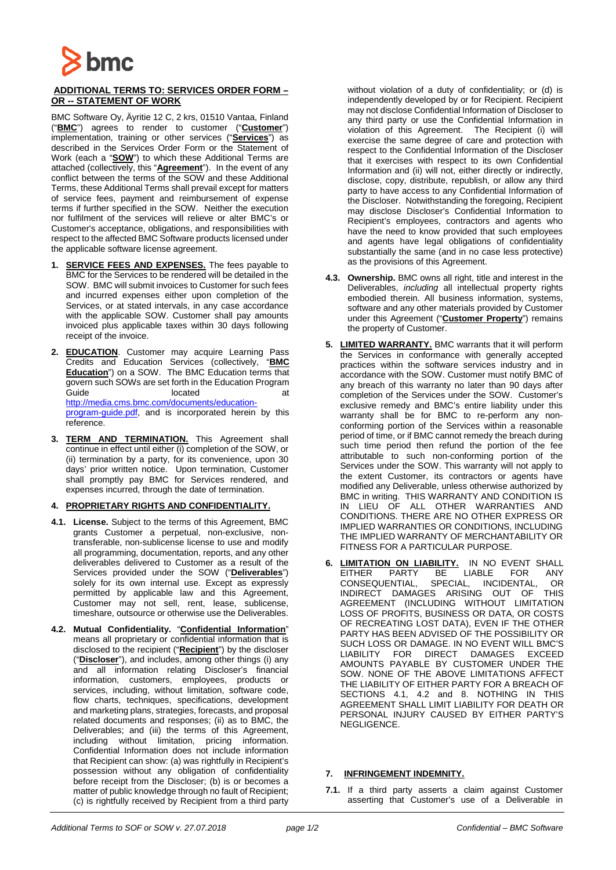

## **ADDITIONAL TERMS TO: SERVICES ORDER FORM – OR -- STATEMENT OF WORK**

BMC Software Oy, Äyritie 12 C, 2 krs, 01510 Vantaa, Finland ("**BMC**") agrees to render to customer ("**Customer**") implementation, training or other services ("**Services**") as described in the Services Order Form or the Statement of Work (each a "**SOW**") to which these Additional Terms are attached (collectively, this "**Agreement**"). In the event of any conflict between the terms of the SOW and these Additional Terms, these Additional Terms shall prevail except for matters of service fees, payment and reimbursement of expense terms if further specified in the SOW. Neither the execution nor fulfilment of the services will relieve or alter BMC's or Customer's acceptance, obligations, and responsibilities with respect to the affected BMC Software products licensed under the applicable software license agreement.

- SERVICE FEES AND EXPENSES. The fees payable to BMC for the Services to be rendered will be detailed in the SOW. BMC will submit invoices to Customer for such fees and incurred expenses either upon completion of the Services, or at stated intervals, in any case accordance with the applicable SOW. Customer shall pay amounts invoiced plus applicable taxes within 30 days following receipt of the invoice.
- **2. EDUCATION**. Customer may acquire Learning Pass Credits and Education Services (collectively, "**BMC Education**") on a SOW. The BMC Education terms that govern such SOWs are set forth in the Education Program Guide at a controller controller at located at a controller at  $\alpha$ [http://media.cms.bmc.com/documents/education](http://media.cms.bmc.com/documents/education-program-guide.pdf)[program-guide.pdf,](http://media.cms.bmc.com/documents/education-program-guide.pdf) and is incorporated herein by this reference.
- **3. TERM AND TERMINATION.** This Agreement shall continue in effect until either (i) completion of the SOW, or (ii) termination by a party, for its convenience, upon 30 days' prior written notice. Upon termination, Customer shall promptly pay BMC for Services rendered, and expenses incurred, through the date of termination.

## **4. PROPRIETARY RIGHTS AND CONFIDENTIALITY.**

- **4.1. License.** Subject to the terms of this Agreement, BMC grants Customer a perpetual, non-exclusive, nontransferable, non-sublicense license to use and modify all programming, documentation, reports, and any other deliverables delivered to Customer as a result of the Services provided under the SOW ("**Deliverables**") solely for its own internal use. Except as expressly permitted by applicable law and this Agreement, Customer may not sell, rent, lease, sublicense, timeshare, outsource or otherwise use the Deliverables.
- **4.2. Mutual Confidentiality.** "**Confidential Information**" means all proprietary or confidential information that is disclosed to the recipient ("**Recipient**") by the discloser ("**Discloser**"), and includes, among other things (i) any and all information relating Discloser's financial information, customers, employees, products or services, including, without limitation, software code, flow charts, techniques, specifications, development and marketing plans, strategies, forecasts, and proposal related documents and responses; (ii) as to BMC, the Deliverables; and (iii) the terms of this Agreement, including without limitation, pricing information. Confidential Information does not include information that Recipient can show: (a) was rightfully in Recipient's possession without any obligation of confidentiality before receipt from the Discloser; (b) is or becomes a matter of public knowledge through no fault of Recipient; (c) is rightfully received by Recipient from a third party

without violation of a duty of confidentiality; or (d) is independently developed by or for Recipient. Recipient may not disclose Confidential Information of Discloser to any third party or use the Confidential Information in violation of this Agreement. The Recipient (i) will exercise the same degree of care and protection with respect to the Confidential Information of the Discloser that it exercises with respect to its own Confidential Information and (ii) will not, either directly or indirectly, disclose, copy, distribute, republish, or allow any third party to have access to any Confidential Information of the Discloser. Notwithstanding the foregoing, Recipient may disclose Discloser's Confidential Information to Recipient's employees, contractors and agents who have the need to know provided that such employees and agents have legal obligations of confidentiality substantially the same (and in no case less protective) as the provisions of this Agreement.

- **4.3. Ownership.** BMC owns all right, title and interest in the Deliverables, *including* all intellectual property rights embodied therein. All business information, systems, software and any other materials provided by Customer under this Agreement ("**Customer Property**") remains the property of Customer.
- **5. LIMITED WARRANTY.** BMC warrants that it will perform the Services in conformance with generally accepted practices within the software services industry and in accordance with the SOW. Customer must notify BMC of any breach of this warranty no later than 90 days after completion of the Services under the SOW. Customer's exclusive remedy and BMC's entire liability under this warranty shall be for BMC to re-perform any nonconforming portion of the Services within a reasonable period of time, or if BMC cannot remedy the breach during such time period then refund the portion of the fee attributable to such non-conforming portion of the Services under the SOW. This warranty will not apply to the extent Customer, its contractors or agents have modified any Deliverable, unless otherwise authorized by BMC in writing. THIS WARRANTY AND CONDITION IS IN LIEU OF ALL OTHER WARRANTIES AND CONDITIONS. THERE ARE NO OTHER EXPRESS OR IMPLIED WARRANTIES OR CONDITIONS, INCLUDING THE IMPLIED WARRANTY OF MERCHANTABILITY OR FITNESS FOR A PARTICULAR PURPOSE.
- **6. LIMITATION ON LIABILITY.** IN NO EVENT SHALL EITHER PARTY BE LIABLE FOR ANY CONSEQUENTIAL, SPECIAL, INCIDENTAL, OR INDIRECT DAMAGES ARISING OUT OF THIS AGREEMENT (INCLUDING WITHOUT LIMITATION LOSS OF PROFITS, BUSINESS OR DATA, OR COSTS OF RECREATING LOST DATA), EVEN IF THE OTHER PARTY HAS BEEN ADVISED OF THE POSSIBILITY OR SUCH LOSS OR DAMAGE. IN NO EVENT WILL BMC'S LIABILITY FOR DIRECT DAMAGES EXCEED AMOUNTS PAYABLE BY CUSTOMER UNDER THE SOW. NONE OF THE ABOVE LIMITATIONS AFFECT THE LIABILITY OF EITHER PARTY FOR A BREACH OF SECTIONS 4.1, 4.2 and 8. NOTHING IN THIS AGREEMENT SHALL LIMIT LIABILITY FOR DEATH OR PERSONAL INJURY CAUSED BY EITHER PARTY'S NEGLIGENCE.

## **7. INFRINGEMENT INDEMNITY.**

**7.1.** If a third party asserts a claim against Customer asserting that Customer's use of a Deliverable in